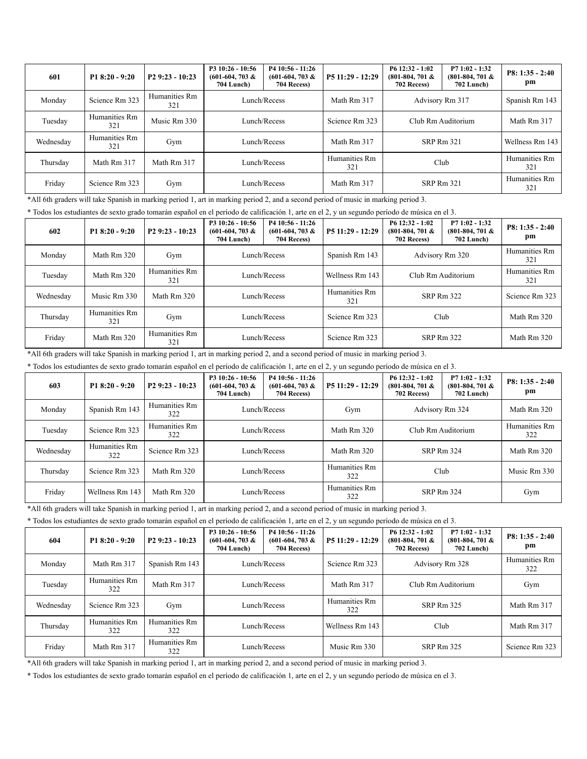| 601       | $P18:20 - 9:20$      | $P29:23 - 10:23$     | P3 10:26 - 10:56<br>$(601-604, 703 \&$<br><b>704 Lunch</b> ) | P4 10:56 - 11:26<br>$(601-604, 703 \&$<br>704 Recess) | $P511:29 - 12:29$    | $P612:32 - 1:02$<br>$(801-804, 701 \&$<br>702 Recess) | $P71:02 - 1:32$<br>$(801-804, 701 \&$<br><b>702 Lunch</b> ) | $P8: 1:35 - 2:40$<br>pm |
|-----------|----------------------|----------------------|--------------------------------------------------------------|-------------------------------------------------------|----------------------|-------------------------------------------------------|-------------------------------------------------------------|-------------------------|
| Monday    | Science Rm 323       | Humanities Rm<br>321 | Lunch/Recess                                                 |                                                       | Math Rm 317          | Advisory Rm 317                                       |                                                             | Spanish Rm 143          |
| Tuesday   | Humanities Rm<br>321 | Music Rm 330         | Lunch/Recess                                                 |                                                       | Science Rm 323       | Club Rm Auditorium                                    |                                                             | Math Rm 317             |
| Wednesday | Humanities Rm<br>321 | Gym                  |                                                              | Lunch/Recess                                          |                      | <b>SRP Rm 321</b>                                     |                                                             | Wellness Rm 143         |
| Thursday  | Math Rm 317          | Math Rm 317          | Lunch/Recess                                                 |                                                       | Humanities Rm<br>321 | Club                                                  |                                                             | Humanities Rm<br>321    |
| Friday    | Science Rm 323       | Gym                  |                                                              | Lunch/Recess                                          | Math Rm 317          | SRP Rm 321                                            |                                                             | Humanities Rm<br>321    |

\*All 6th graders will take Spanish in marking period 1, art in marking period 2, and a second period of music in marking period 3.

\* Todos los estudiantes de sexto grado tomarán español en el período de calificación 1, arte en el 2, y un segundo período de música en el 3.

| 602       | $P18:20 - 9:20$      | $P29:23 - 10:23$     | P3 10:26 - 10:56<br>$(601-604, 703 \&$<br><b>704 Lunch</b> ) | $P410:56 - 11:26$<br>$(601-604, 703 \&$<br>704 Recess) | $P511:29 - 12:29$ | $P612:32 - 1:02$<br>$(801-804, 701 \&$<br>702 Recess) | $P71:02 - 1:32$<br>$(801-804, 701 \&$<br>702 Lunch) | $P8: 1:35 - 2:40$<br>pm |
|-----------|----------------------|----------------------|--------------------------------------------------------------|--------------------------------------------------------|-------------------|-------------------------------------------------------|-----------------------------------------------------|-------------------------|
| Monday    | Math Rm 320          | Gym                  | Lunch/Recess                                                 |                                                        | Spanish Rm 143    | Advisory Rm 320                                       |                                                     | Humanities Rm<br>321    |
| Tuesday   | Math Rm 320          | Humanities Rm<br>321 | Lunch/Recess                                                 |                                                        | Wellness Rm 143   | Club Rm Auditorium                                    |                                                     | Humanities Rm<br>321    |
| Wednesday | Music Rm 330         | Math Rm 320          |                                                              | Lunch/Recess                                           |                   | <b>SRP Rm 322</b>                                     |                                                     | Science Rm 323          |
| Thursday  | Humanities Rm<br>321 | Gym                  | Lunch/Recess                                                 |                                                        | Science Rm 323    | Club                                                  |                                                     | Math Rm 320             |
| Friday    | Math Rm 320          | Humanities Rm<br>321 |                                                              | Lunch/Recess                                           | Science Rm 323    | <b>SRP Rm 322</b>                                     |                                                     | Math Rm 320             |

\*All 6th graders will take Spanish in marking period 1, art in marking period 2, and a second period of music in marking period 3.

\* Todos los estudiantes de sexto grado tomarán español en el período de calificación 1, arte en el 2, y un segundo período de música en el 3.

| 603       | P1 $8:20 - 9:20$     | $P29:23 - 10:23$     | P3 10:26 - 10:56<br>$(601-604, 703 \&$<br>704 Lunch) | P4 10:56 - 11:26<br>$(601-604, 703 \&$<br>704 Recess) | P5 11:29 - 12:29     | $P612:32 - 1:02$<br>$(801-804, 701 \&$<br>702 Recess) | $P71:02 - 1:32$<br>$(801-804, 701 \&$<br>702 Lunch) | $P8: 1:35 - 2:40$<br>pm |
|-----------|----------------------|----------------------|------------------------------------------------------|-------------------------------------------------------|----------------------|-------------------------------------------------------|-----------------------------------------------------|-------------------------|
| Monday    | Spanish Rm 143       | Humanities Rm<br>322 | Lunch/Recess                                         |                                                       | Gym                  | Advisory Rm 324                                       |                                                     | Math Rm 320             |
| Tuesday   | Science Rm 323       | Humanities Rm<br>322 | Lunch/Recess                                         |                                                       | Math Rm 320          | Club Rm Auditorium                                    |                                                     | Humanities Rm<br>322    |
| Wednesday | Humanities Rm<br>322 | Science Rm 323       |                                                      | Lunch/Recess                                          | Math Rm 320          | SRP Rm 324                                            |                                                     | Math Rm 320             |
| Thursday  | Science Rm 323       | Math Rm 320          | Lunch/Recess                                         |                                                       | Humanities Rm<br>322 | Club                                                  |                                                     | Music Rm 330            |
| Friday    | Wellness Rm 143      | Math Rm 320          |                                                      | Lunch/Recess                                          | Humanities Rm<br>322 | <b>SRP Rm 324</b>                                     |                                                     | Gym                     |

\*All 6th graders will take Spanish in marking period 1, art in marking period 2, and a second period of music in marking period 3.

\* Todos los estudiantes de sexto grado tomarán español en el período de calificación 1, arte en el 2, y un segundo período de música en el 3.

| 604       | $P18:20 - 9:20$      | $P29:23 - 10:23$     | P3 10:26 - 10:56<br>$(601-604, 703 \&$<br>704 Lunch) | P4 10:56 - 11:26<br>$(601-604, 703 \&$<br>704 Recess) | $P511:29 - 12:29$ | $P612:32 - 1:02$<br>$(801-804, 701 \&$<br>702 Recess) | $P71:02 - 1:32$<br>$(801-804, 701 \&$<br>702 Lunch) | $P8: 1:35 - 2:40$<br>pm |
|-----------|----------------------|----------------------|------------------------------------------------------|-------------------------------------------------------|-------------------|-------------------------------------------------------|-----------------------------------------------------|-------------------------|
| Monday    | Math Rm 317          | Spanish Rm 143       | Lunch/Recess                                         |                                                       | Science Rm 323    | Advisory Rm 328                                       |                                                     | Humanities Rm<br>322    |
| Tuesday   | Humanities Rm<br>322 | Math Rm 317          | Lunch/Recess                                         |                                                       | Math Rm 317       | Club Rm Auditorium                                    |                                                     | Gym                     |
| Wednesday | Science Rm 323       | Gym                  |                                                      | Lunch/Recess                                          |                   |                                                       | <b>SRP Rm 325</b>                                   | Math Rm 317             |
| Thursday  | Humanities Rm<br>322 | Humanities Rm<br>322 | Lunch/Recess                                         |                                                       | Wellness Rm 143   |                                                       | Club                                                | Math Rm 317             |
| Friday    | Math Rm 317          | Humanities Rm<br>322 |                                                      | Lunch/Recess                                          |                   |                                                       | <b>SRP Rm 325</b>                                   | Science Rm 323          |

\*All 6th graders will take Spanish in marking period 1, art in marking period 2, and a second period of music in marking period 3.

\* Todos los estudiantes de sexto grado tomarán español en el período de calificación 1, arte en el 2, y un segundo período de música en el 3.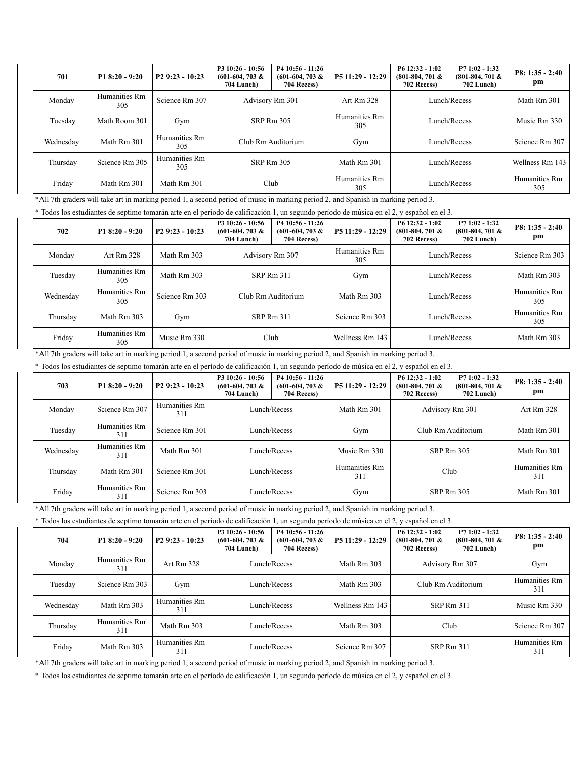| 701       | $P18:20 - 9:20$      | $P29:23 - 10:23$     | P3 10:26 - 10:56<br>$(601-604, 703 \&$<br>704 Lunch) | P4 10:56 - 11:26<br>$(601-604, 703 \&$<br>704 Recess) | $P511:29 - 12:29$    | $P612:32 - 1:02$<br>$(801-804, 701 \&$<br>702 Recess) | $P71:02 - 1:32$<br>$(801-804, 701 \&$<br>702 Lunch) | $P8: 1:35 - 2:40$<br>pm |
|-----------|----------------------|----------------------|------------------------------------------------------|-------------------------------------------------------|----------------------|-------------------------------------------------------|-----------------------------------------------------|-------------------------|
| Monday    | Humanities Rm<br>305 | Science Rm 307       | Advisory Rm 301                                      |                                                       | Art Rm 328           | Lunch/Recess                                          |                                                     | Math Rm 301             |
| Tuesday   | Math Room 301        | Gym                  | <b>SRP Rm 305</b>                                    |                                                       | Humanities Rm<br>305 | Lunch/Recess                                          |                                                     | Music Rm 330            |
| Wednesday | Math Rm 301          | Humanities Rm<br>305 |                                                      | Club Rm Auditorium                                    |                      |                                                       | Lunch/Recess                                        | Science Rm 307          |
| Thursday  | Science Rm 305       | Humanities Rm<br>305 | SRP Rm 305                                           |                                                       | Math Rm 301          |                                                       | Lunch/Recess                                        | Wellness Rm 143         |
| Friday    | Math Rm 301          | Math Rm 301          |                                                      | Club                                                  |                      |                                                       | Lunch/Recess                                        | Humanities Rm<br>305    |

\*All 7th graders will take art in marking period 1, a second period of music in marking period 2, and Spanish in marking period 3.

\* Todos los estudiantes de septimo tomarán arte en el período de calificación 1, un segundo período de música en el 2, y español en el 3.

| 702       | $P18:20 - 9:20$      | $P29:23 - 10:23$ | $P310:26 - 10:56$<br>$(601-604, 703 \&$<br><b>704 Lunch</b> ) | $P410:56 - 11:26$<br>$(601-604, 703 \&$<br>704 Recess) | $P511:29 - 12:29$    | $P612:32 - 1:02$<br>$(801-804, 701 \&$<br>702 Recess) | $P71:02 - 1:32$<br>$(801-804, 701 \&$<br>702 Lunch) | $P8: 1:35 - 2:40$<br>рm |
|-----------|----------------------|------------------|---------------------------------------------------------------|--------------------------------------------------------|----------------------|-------------------------------------------------------|-----------------------------------------------------|-------------------------|
| Monday    | Art Rm 328           | Math Rm 303      | Advisory Rm 307                                               |                                                        | Humanities Rm<br>305 | Lunch/Recess                                          |                                                     | Science Rm 303          |
| Tuesday   | Humanities Rm<br>305 | Math Rm 303      | SRP Rm 311                                                    |                                                        | Gym                  | Lunch/Recess                                          |                                                     | Math Rm 303             |
| Wednesday | Humanities Rm<br>305 | Science Rm 303   |                                                               | Club Rm Auditorium                                     |                      |                                                       | Lunch/Recess                                        | Humanities Rm<br>305    |
| Thursday  | Math Rm 303          | Gym              | SRP Rm 311                                                    |                                                        | Science Rm 303       | Lunch/Recess                                          |                                                     | Humanities Rm<br>305    |
| Friday    | Humanities Rm<br>305 | Music Rm 330     |                                                               | Club                                                   |                      |                                                       | Lunch/Recess                                        | Math Rm 303             |

\*All 7th graders will take art in marking period 1, a second period of music in marking period 2, and Spanish in marking period 3.

\* Todos los estudiantes de septimo tomarán arte en el período de calificación 1, un segundo período de música en el 2, y español en el 3.

| 703       | $P18:20 - 9:20$      | $P29:23 - 10:23$     | P3 10:26 - 10:56<br>$(601-604, 703 \&$<br>704 Lunch) | $P410:56 - 11:26$<br>$(601-604, 703 \&$<br>704 Recess) | P5 11:29 - 12:29     | $P612:32 - 1:02$<br>$(801-804, 701 \&$<br>702 Recess) | $P71:02 - 1:32$<br>$(801-804, 701 \&$<br><b>702 Lunch</b> ) | $P8: 1:35 - 2:40$<br>pm |
|-----------|----------------------|----------------------|------------------------------------------------------|--------------------------------------------------------|----------------------|-------------------------------------------------------|-------------------------------------------------------------|-------------------------|
| Monday    | Science Rm 307       | Humanities Rm<br>311 | Lunch/Recess                                         |                                                        | Math Rm 301          | Advisory Rm 301                                       |                                                             | Art Rm 328              |
| Tuesday   | Humanities Rm<br>311 | Science Rm 301       | Lunch/Recess                                         |                                                        | Gym                  | Club Rm Auditorium                                    |                                                             | Math Rm 301             |
| Wednesday | Humanities Rm<br>311 | Math Rm 301          |                                                      | Lunch/Recess                                           |                      |                                                       | <b>SRP Rm 305</b>                                           | Math Rm 301             |
| Thursday  | Math Rm 301          | Science Rm 301       | Lunch/Recess                                         |                                                        | Humanities Rm<br>311 |                                                       | Club                                                        | Humanities Rm<br>311    |
| Friday    | Humanities Rm<br>311 | Science Rm 303       |                                                      | Lunch/Recess                                           | Gym                  |                                                       | <b>SRP Rm 305</b>                                           | Math Rm 301             |

\*All 7th graders will take art in marking period 1, a second period of music in marking period 2, and Spanish in marking period 3.

\* Todos los estudiantes de septimo tomarán arte en el período de calificación 1, un segundo período de música en el 2, y español en el 3.

| 704       | $P18:20 - 9:20$      | P <sub>2</sub> 9:23 - 10:23 | P3 10:26 - 10:56<br>$(601-604, 703 \&$<br><b>704 Lunch</b> ) | P4 10:56 - 11:26<br>$(601-604, 703 \&$<br>704 Recess) | P5 11:29 - 12:29 | $P612:32 - 1:02$<br>$(801-804, 701 \&$<br>702 Recess) | $P71:02 - 1:32$<br>$(801-804, 701 \&$<br><b>702 Lunch</b> ) | $P8: 1:35 - 2:40$<br>pm |
|-----------|----------------------|-----------------------------|--------------------------------------------------------------|-------------------------------------------------------|------------------|-------------------------------------------------------|-------------------------------------------------------------|-------------------------|
| Monday    | Humanities Rm<br>311 | Art Rm 328                  | Lunch/Recess                                                 |                                                       | Math Rm 303      | Advisory Rm 307                                       |                                                             | Gym                     |
| Tuesday   | Science Rm 303       | Gym                         | Lunch/Recess                                                 |                                                       | Math Rm 303      | Club Rm Auditorium                                    |                                                             | Humanities Rm<br>311    |
| Wednesday | Math Rm 303          | Humanities Rm<br>311        |                                                              | Lunch/Recess                                          |                  |                                                       | <b>SRP Rm 311</b>                                           | Music Rm 330            |
| Thursday  | Humanities Rm<br>311 | Math Rm 303                 | Lunch/Recess                                                 |                                                       | Math Rm 303      |                                                       | Club                                                        | Science Rm 307          |
| Friday    | Math Rm 303          | Humanities Rm<br>311        |                                                              | Lunch/Recess                                          |                  |                                                       | <b>SRP Rm 311</b>                                           | Humanities Rm<br>311    |

\*All 7th graders will take art in marking period 1, a second period of music in marking period 2, and Spanish in marking period 3.

\* Todos los estudiantes de septimo tomarán arte en el período de calificación 1, un segundo período de música en el 2, y español en el 3.